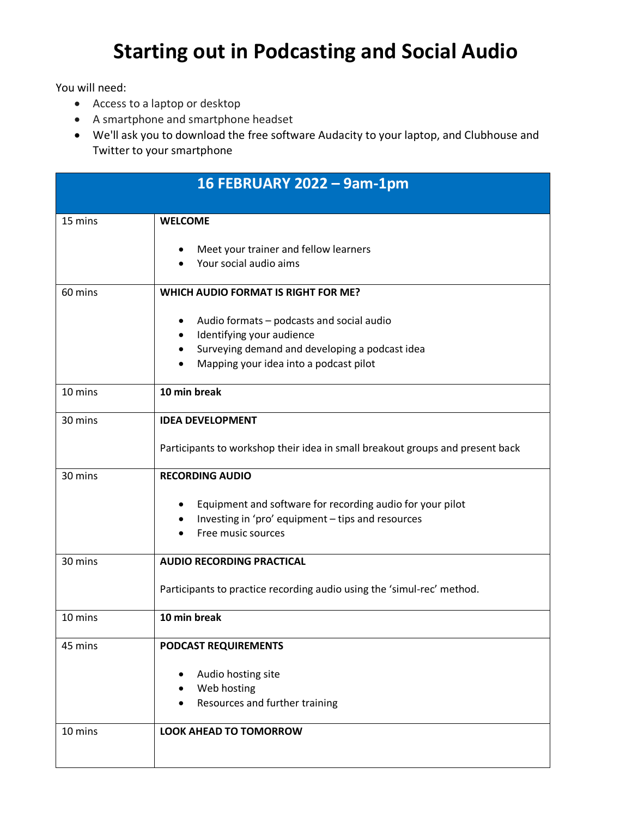## **Starting out in Podcasting and Social Audio**

You will need:

- Access to a laptop or desktop
- A smartphone and smartphone headset
- We'll ask you to download the free software Audacity to your laptop, and Clubhouse and Twitter to your smartphone

|         | 16 FEBRUARY 2022 - 9am-1pm                                                                                                                                                                |
|---------|-------------------------------------------------------------------------------------------------------------------------------------------------------------------------------------------|
| 15 mins | <b>WELCOME</b>                                                                                                                                                                            |
|         | Meet your trainer and fellow learners<br>Your social audio aims                                                                                                                           |
| 60 mins | <b>WHICH AUDIO FORMAT IS RIGHT FOR ME?</b>                                                                                                                                                |
|         | Audio formats - podcasts and social audio<br>٠<br>Identifying your audience<br>٠<br>Surveying demand and developing a podcast idea<br>$\bullet$<br>Mapping your idea into a podcast pilot |
| 10 mins | 10 min break                                                                                                                                                                              |
| 30 mins | <b>IDEA DEVELOPMENT</b>                                                                                                                                                                   |
|         | Participants to workshop their idea in small breakout groups and present back                                                                                                             |
| 30 mins | <b>RECORDING AUDIO</b>                                                                                                                                                                    |
|         | Equipment and software for recording audio for your pilot<br>Investing in 'pro' equipment - tips and resources<br>Free music sources                                                      |
| 30 mins | <b>AUDIO RECORDING PRACTICAL</b>                                                                                                                                                          |
|         | Participants to practice recording audio using the 'simul-rec' method.                                                                                                                    |
| 10 mins | 10 min break                                                                                                                                                                              |
| 45 mins | <b>PODCAST REQUIREMENTS</b>                                                                                                                                                               |
|         | Audio hosting site<br>Web hosting<br>Resources and further training                                                                                                                       |
| 10 mins | <b>LOOK AHEAD TO TOMORROW</b>                                                                                                                                                             |